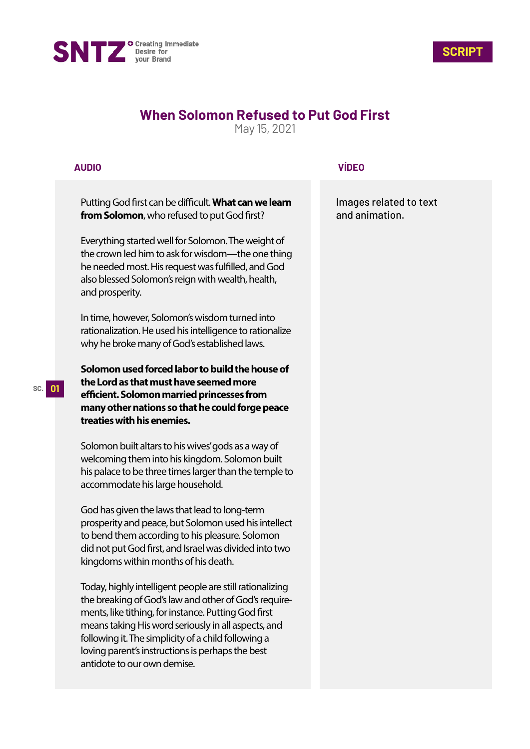



## **When Solomon Refused to Put God First**

May 15, 2021

## **AUDIO**

Putting God first can be difficult. What can we learn **from Solomon**, who refused to put God first?

Everything started well for Solomon. The weight of the crown led him to ask for wisdom—the one thing he needed most. His request was fulfilled, and God also blessed Solomon's reign with wealth, health, and prosperity.

In time, however, Solomon's wisdom turned into rationalization. He used his intelligence to rationalize why he broke many of God's established laws.

**Solomon used forced labor to build the house of the Lord as that must have seemed more efficient. Solomon married princesses from many other nations so that he could forge peace treaties with his enemies.**

Solomon built altars to his wives' gods as a way of welcoming them into his kingdom. Solomon built his palace to be three times larger than the temple to accommodate his large household.

God has given the laws that lead to long-term prosperity and peace, but Solomon used his intellect to bend them according to his pleasure. Solomon did not put God first, and Israel was divided into two kingdoms within months of his death.

Today, highly intelligent people are still rationalizing the breaking of God's law and other of God's requirements, like tithing, for instance. Putting God first means taking His word seriously in all aspects, and following it. The simplicity of a child following a loving parent's instructions is perhaps the best antidote to our own demise.

## **VÍDEO**

Images related to text and animation.